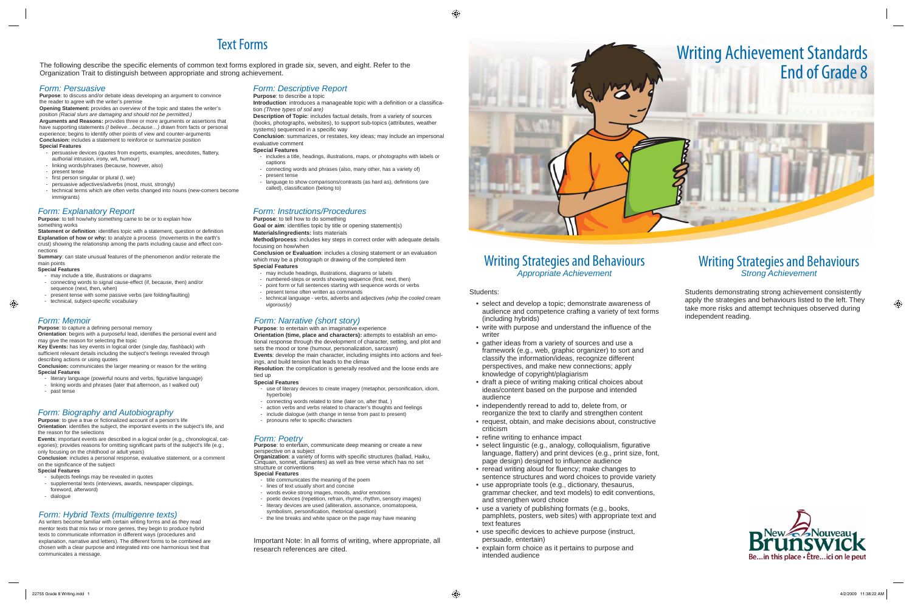## Writing Strategies and Behaviours *Appropriate Achievement*

Students:

- select and develop a topic; demonstrate awareness of audience and competence crafting a variety of text forms (including hybrids)
- write with purpose and understand the influence of the writer
- gather ideas from a variety of sources and use a framework (e.g., web, graphic organizer) to sort and classify the information/ideas, recognize different perspectives, and make new connections; apply knowledge of copyright/plagiarism
- draft a piece of writing making critical choices about ideas/content based on the purpose and intended audience
- independently reread to add to, delete from, or reorganize the text to clarify and strengthen content
- request, obtain, and make decisions about, constructive criticism
- refine writing to enhance impact
- select linguistic (e.g., analogy, colloquialism, figurative language, flattery) and print devices (e.g., print size, font, page design) designed to influence audience
- reread writing aloud for fluency; make changes to sentence structures and word choices to provide variety
- use appropriate tools (e.g., dictionary, thesaurus, grammar checker, and text models) to edit conventions, and strengthen word choice
- use a variety of publishing formats (e.g., books, pamphlets, posters, web sites) with appropriate text and text features
- use specific devices to achieve purpose (instruct, persuade, entertain)
- explain form choice as it pertains to purpose and intended audience

The following describe the specific elements of common text forms explored in grade six, seven, and eight. Refer to the Organization Trait to distinguish between appropriate and strong achievement.

**Purpose:** to tell how/why something came to be or to explain how something works

## Writing Strategies and Behaviours *Strong Achievement*

# Text Forms

**Statement or definition:** identifies topic with a statement, question or definition **Explanation of how or why:** to analyze a process (movements in the earth's crust) showing the relationship among the parts including cause and effect connections

- may include a title, illustrations or diagrams
- connecting words to signal cause-effect (if, because, then) and/or sequence (next, then, when)
- present tense with some passive verbs (are folding/faulting)
- technical, subject-specific vocabulary

# Writing Achievement Standards End of Grade 8



Students demonstrating strong achievement consistently apply the strategies and behaviours listed to the left. They take more risks and attempt techniques observed during independent reading.



**Orientation**: begins with a purposeful lead, identifies the personal event and may give the reason for selecting the topic

Key Events: has key events in logical order (single day, flashback) with sufficient relevant details including the subject's feelings revealed through describing actions or using quotes

## *Form: Persuasive*

**Purpose**: to discuss and/or debate ideas developing an argument to convince the reader to agree with the writer's premise

- literary language (powerful nouns and verbs, figurative language)
- linking words and phrases (later that afternoon, as I walked out)
- past tense

**Orientation**: identifies the subject, the important events in the subject's life, and the reason for the selections

**Conclusion**: includes a personal response, evaluative statement, or a comment on the significance of the subject

**Opening Statement:** provides an overview of the topic and states the writer's position *(Racial slurs are damaging and should not be permitted.)* **Arguments and Reasons:** provides three or more arguments or assertions that have supporting statements *(I believe…because…)* drawn from facts or personal experience; begins to identify other points of view and counter-arguments **Conclusion:** includes a statement to reinforce or summarize position **Special Features**

- persuasive devices (quotes from experts, examples, anecdotes, flattery, authorial intrusion, irony, wit, humour)
- linking words/phrases (because, however, also)
- present tense
- first person singular or plural (I, we)
- persuasive adjectives/adverbs (most, must, strongly) - technical terms which are often verbs changed into nouns (new-comers become immigrants)

- subjects feelings may be revealed in quotes
- supplemental texts (interviews, awards, newspaper clippings,
- foreword, afterword)
- dialogue

# Form: Hybrid Texts (multigenre texts)<br>As writers become familiar with certain writing forms and as they read<br>As writers become familiar with certain writing forms and as they read<br>As writers become familiar with certain wr

**Introduction**: introduces a manageable topic with a definition or a classification *(Three types of soil are)*

**Description of Topic**: includes factual details, from a variety of sources (books, photographs, websites), to support sub-topics (attributes, weather systems) sequenced in a specific way

- includes a title, headings, illustrations, maps, or photographs with labels or captions
- connecting words and phrases (also, many other, has a variety of)
- present tense
- language to show comparisons/contrasts (as hard as), definitions (are called), classification (belong to)

**Goal or aim:** identifies topic by title or opening statement(s) **Materials/ingredients:** lists materials

## *Form: Explanatory Report*

**Summary**: can state unusual features of the phenomenon and/or reiterate the main points

### **Special Features**

## *Form: Memoir*

Purpose: to capture a defining personal memory

**Organization**: a variety of forms with specific structures (ballad, Haiku, Cinquain, sonnet, diamantes) as well as free verse which has no set structure or conventions **Special Features** 

**Conclusion:** communicates the larger meaning or reason for the writing **Special Features**

## *Form: Biography and Autobiography*

**Purpose:** to give a true or fictionalized account of a person's life

**Events**: important events are described in a logical order (e.g., chronological, categories); provides reasons for omitting significant parts of the subject's life (e.g., only focusing on the childhood or adult years)

### **Special Features**

## *Form: Descriptive Report*

### **Purpose**: to describe a topic

**Conclusion**: summarizes, or restates, key ideas; may include an impersonal evaluative comment

### **Special Features**

### *Form: Instructions/Procedures* **Purpose**: to tell how to do something

**Method/process**: includes key steps in correct order with adequate details focusing on how/when

**Conclusion or Evaluation**: includes a closing statement or an evaluation which may be a photograph or drawing of the completed item

### **Special Features**

- may include headings, illustrations, diagrams or labels
- numbered-steps or words showing sequence (first, next, then)
- point form or full sentences starting with sequence words or verbs
- present tense often written as commands
- technical language verbs, adverbs and adjectives *(whip the cooled cream vigorously)*

## *Form: Narrative (short story)*

**Purpose**: to entertain with an imaginative experience

**Orientation (time, place and characters):** attempts to establish an emotional response through the development of character, setting, and plot and sets the mood or tone (humour, personalization, sarcasm) **Events**: develop the main character, including insights into actions and feel-

ings, and build tension that leads to the climax

**Resolution**: the complication is generally resolved and the loose ends are tied up

### **Special Features**

- use of literary devices to create imagery (metaphor, personification, idiom, hyperbole)
- connecting words related to time (later on, after that, )
- action verbs and verbs related to character's thoughts and feelings
- include dialogue (with change in tense from past to present)
- pronouns refer to specific characters

## *Form: Poetry*

**Purpose**: to entertain, communicate deep meaning or create a new perspective on a subject

- title communicates the meaning of the poem
- lines of text usually short and concise
- words evoke strong images, moods, and/or emotions
- poetic devices (repetition, refrain, rhyme, rhythm, sensory images) - literary devices are used (alliteration, assonance, onomatopoeia,
- 
- 

mentor texts that mix two or more genres, they begin to produce hybrid texts to communicate information in different ways (procedures and explanation, narrative and letters). The different forms to be combined are chosen with a clear purpose and integrated into one harmonious text that communicates a message.

Important Note: In all forms of writing, where appropriate, all research references are cited.